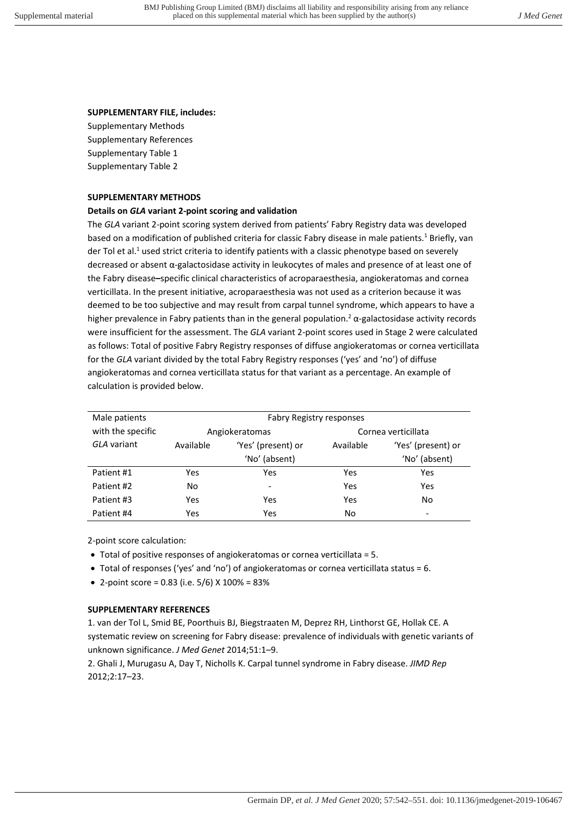## **SUPPLEMENTARY FILE, includes:**

Supplementary Methods Supplementary References Supplementary Table 1 Supplementary Table 2

#### **SUPPLEMENTARY METHODS**

## **Details on** *GLA* **variant 2-point scoring and validation**

The *GLA* variant 2-point scoring system derived from patients' Fabry Registry data was developed based on a modification of published criteria for classic Fabry disease in male patients.<sup>1</sup> Briefly, van der Tol et al.<sup>1</sup> used strict criteria to identify patients with a classic phenotype based on severely decreased or absent α-galactosidase activity in leukocytes of males and presence of at least one of the Fabry disease**–**specific clinical characteristics of acroparaesthesia, angiokeratomas and cornea verticillata. In the present initiative, acroparaesthesia was not used as a criterion because it was deemed to be too subjective and may result from carpal tunnel syndrome, which appears to have a higher prevalence in Fabry patients than in the general population.<sup>2</sup>  $\alpha$ -galactosidase activity records were insufficient for the assessment. The *GLA* variant 2-point scores used in Stage 2 were calculated as follows: Total of positive Fabry Registry responses of diffuse angiokeratomas or cornea verticillata for the *GLA* variant divided by the total Fabry Registry responses ('yes' and 'no') of diffuse angiokeratomas and cornea verticillata status for that variant as a percentage. An example of calculation is provided below.

| Male patients     | <b>Fabry Registry responses</b> |                              |           |                          |  |  |  |
|-------------------|---------------------------------|------------------------------|-----------|--------------------------|--|--|--|
| with the specific | Angiokeratomas                  |                              |           | Cornea verticillata      |  |  |  |
| GLA variant       | Available                       | 'Yes' (present) or           | Available | 'Yes' (present) or       |  |  |  |
|                   |                                 | 'No' (absent)                |           | 'No' (absent)            |  |  |  |
| Patient #1        | Yes                             | Yes                          | Yes       | Yes                      |  |  |  |
| Patient #2        | No                              | $\qquad \qquad \blacksquare$ | Yes       | Yes                      |  |  |  |
| Patient #3        | Yes                             | Yes                          | Yes       | No                       |  |  |  |
| Patient #4        | Yes                             | Yes                          | No        | $\overline{\phantom{a}}$ |  |  |  |

2-point score calculation:

- Total of positive responses of angiokeratomas or cornea verticillata = 5.
- Total of responses ('yes' and 'no') of angiokeratomas or cornea verticillata status = 6.
- 2-point score = 0.83 (i.e.  $5/6$ ) X 100% = 83%

# **SUPPLEMENTARY REFERENCES**

1. van der Tol L, Smid BE, Poorthuis BJ, Biegstraaten M, Deprez RH, Linthorst GE, Hollak CE. A systematic review on screening for Fabry disease: prevalence of individuals with genetic variants of unknown significance. *J Med Genet* 2014;51:1–9.

2. Ghali J, Murugasu A, Day T, Nicholls K. Carpal tunnel syndrome in Fabry disease. *JIMD Rep* 2012;2:17–23.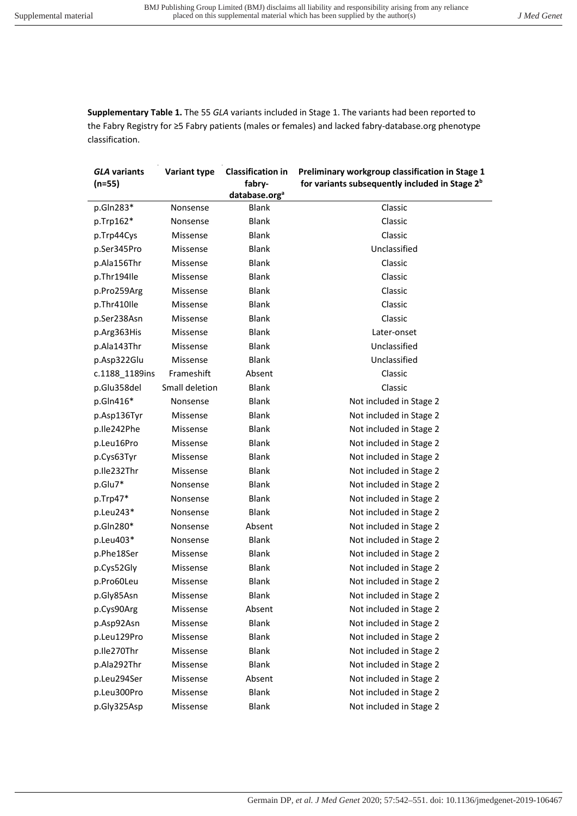**Supplementary Table 1.** The 55 *GLA* variants included in Stage 1. The variants had been reported to the Fabry Registry for ≥5 Fabry patients (males or females) and lacked fabry-database.org phenotype classification.

| <b>GLA variants</b>        | Variant type   | <b>Classification in</b>            | Preliminary workgroup classification in Stage 1            |  |  |  |  |
|----------------------------|----------------|-------------------------------------|------------------------------------------------------------|--|--|--|--|
| $(n=55)$                   |                | fabry-<br>database.org <sup>a</sup> | for variants subsequently included in Stage 2 <sup>b</sup> |  |  |  |  |
| p.Gln283*                  | Nonsense       | <b>Blank</b>                        | Classic                                                    |  |  |  |  |
| p.Trp162*                  | Nonsense       | <b>Blank</b>                        | Classic                                                    |  |  |  |  |
| p.Trp44Cys                 | Missense       | <b>Blank</b>                        | Classic                                                    |  |  |  |  |
| p.Ser345Pro                | Missense       | <b>Blank</b>                        | Unclassified                                               |  |  |  |  |
| p.Ala156Thr                | Missense       | <b>Blank</b>                        | Classic                                                    |  |  |  |  |
| p.Thr194Ile                | Missense       | <b>Blank</b>                        | Classic                                                    |  |  |  |  |
| p.Pro259Arg                | Missense       | <b>Blank</b>                        | Classic                                                    |  |  |  |  |
| p.Thr410Ile                | Missense       | <b>Blank</b>                        | Classic                                                    |  |  |  |  |
| p.Ser238Asn                | Missense       | Blank                               | Classic                                                    |  |  |  |  |
| p.Arg363His                | Missense       | <b>Blank</b>                        | Later-onset                                                |  |  |  |  |
|                            | Missense       | <b>Blank</b>                        | Unclassified                                               |  |  |  |  |
| p.Ala143Thr<br>p.Asp322Glu | Missense       | <b>Blank</b>                        | Unclassified                                               |  |  |  |  |
|                            | Frameshift     | Absent                              | Classic                                                    |  |  |  |  |
| c.1188 1189ins             | Small deletion | <b>Blank</b>                        | Classic                                                    |  |  |  |  |
| p.Glu358del                |                | <b>Blank</b>                        |                                                            |  |  |  |  |
| p.Gln416*                  | Nonsense       |                                     | Not included in Stage 2                                    |  |  |  |  |
| p.Asp136Tyr                | Missense       | <b>Blank</b>                        | Not included in Stage 2                                    |  |  |  |  |
| p.Ile242Phe                | Missense       | <b>Blank</b>                        | Not included in Stage 2                                    |  |  |  |  |
| p.Leu16Pro                 | Missense       | <b>Blank</b>                        | Not included in Stage 2                                    |  |  |  |  |
| p.Cys63Tyr                 | Missense       | <b>Blank</b>                        | Not included in Stage 2                                    |  |  |  |  |
| p.Ile232Thr                | Missense       | <b>Blank</b>                        | Not included in Stage 2                                    |  |  |  |  |
| p.Glu7*                    | Nonsense       | <b>Blank</b>                        | Not included in Stage 2                                    |  |  |  |  |
| p.Trp47*                   | Nonsense       | <b>Blank</b>                        | Not included in Stage 2                                    |  |  |  |  |
| p.Leu243*                  | Nonsense       | <b>Blank</b>                        | Not included in Stage 2                                    |  |  |  |  |
| p.Gln280*                  | Nonsense       | Absent                              | Not included in Stage 2                                    |  |  |  |  |
| p.Leu403*                  | Nonsense       | <b>Blank</b>                        | Not included in Stage 2                                    |  |  |  |  |
| p.Phe18Ser                 | Missense       | <b>Blank</b>                        | Not included in Stage 2                                    |  |  |  |  |
| p.Cys52Gly                 | Missense       | <b>Blank</b>                        | Not included in Stage 2                                    |  |  |  |  |
| p.Pro60Leu                 | Missense       | <b>Blank</b>                        | Not included in Stage 2                                    |  |  |  |  |
| p.Gly85Asn                 | Missense       | <b>Blank</b>                        | Not included in Stage 2                                    |  |  |  |  |
| p.Cys90Arg                 | Missense       | Absent                              | Not included in Stage 2                                    |  |  |  |  |
| p.Asp92Asn                 | Missense       | <b>Blank</b>                        | Not included in Stage 2                                    |  |  |  |  |
| p.Leu129Pro                | Missense       | <b>Blank</b>                        | Not included in Stage 2                                    |  |  |  |  |
| p.Ile270Thr                | Missense       | <b>Blank</b>                        | Not included in Stage 2                                    |  |  |  |  |
| p.Ala292Thr                | Missense       | <b>Blank</b>                        | Not included in Stage 2                                    |  |  |  |  |
| p.Leu294Ser                | Missense       | Absent                              | Not included in Stage 2                                    |  |  |  |  |
| p.Leu300Pro                | Missense       | <b>Blank</b>                        | Not included in Stage 2                                    |  |  |  |  |
| p.Gly325Asp                | Missense       | Blank                               | Not included in Stage 2                                    |  |  |  |  |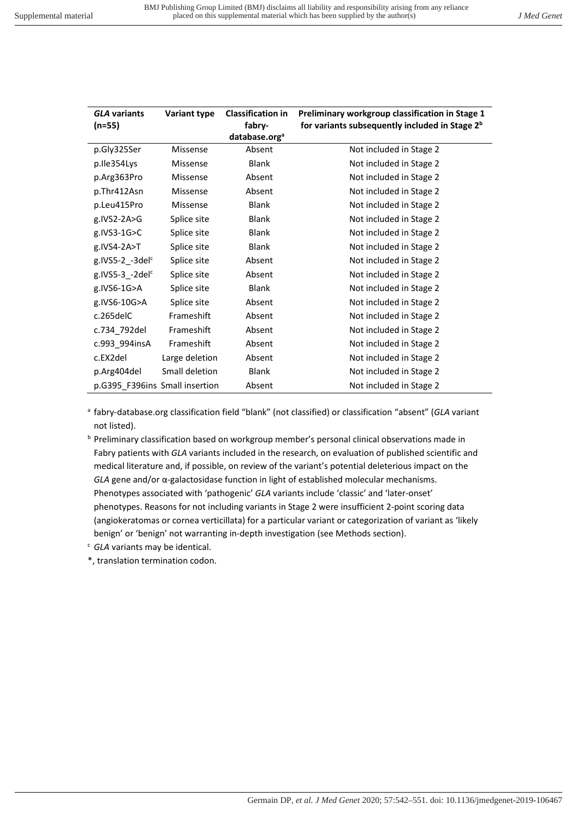| <b>GLA variants</b><br>(n=55)  | <b>Variant type</b> | <b>Classification in</b><br>fabry- | Preliminary workgroup classification in Stage 1<br>for variants subsequently included in Stage 2 <sup>b</sup> |
|--------------------------------|---------------------|------------------------------------|---------------------------------------------------------------------------------------------------------------|
|                                |                     | database.org <sup>a</sup>          |                                                                                                               |
| p.Gly325Ser                    | Missense            | Absent                             | Not included in Stage 2                                                                                       |
| p.Ile354Lys                    | Missense            | <b>Blank</b>                       | Not included in Stage 2                                                                                       |
| p.Arg363Pro                    | Missense            | Absent                             | Not included in Stage 2                                                                                       |
| p.Thr412Asn                    | Missense            | Absent                             | Not included in Stage 2                                                                                       |
| p.Leu415Pro                    | Missense            | <b>Blank</b>                       | Not included in Stage 2                                                                                       |
| g.IVS2-2A>G                    | Splice site         | <b>Blank</b>                       | Not included in Stage 2                                                                                       |
| g.IVS3-1G>C                    | Splice site         | <b>Blank</b>                       | Not included in Stage 2                                                                                       |
| g.IVS4-2A>T                    | Splice site         | <b>Blank</b>                       | Not included in Stage 2                                                                                       |
| g.IVS5-2_-3del <sup>c</sup>    | Splice site         | Absent                             | Not included in Stage 2                                                                                       |
| g.IVS5-3_-2del <sup>c</sup>    | Splice site         | Absent                             | Not included in Stage 2                                                                                       |
| g.IVS6-1G>A                    | Splice site         | <b>Blank</b>                       | Not included in Stage 2                                                                                       |
| g.IVS6-10G>A                   | Splice site         | Absent                             | Not included in Stage 2                                                                                       |
| c.265delC                      | Frameshift          | Absent                             | Not included in Stage 2                                                                                       |
| c.734_792del                   | Frameshift          | Absent                             | Not included in Stage 2                                                                                       |
| c.993_994insA                  | Frameshift          | Absent                             | Not included in Stage 2                                                                                       |
| c.EX2del                       | Large deletion      | Absent                             | Not included in Stage 2                                                                                       |
| p.Arg404del                    | Small deletion      | <b>Blank</b>                       | Not included in Stage 2                                                                                       |
| p.G395_F396ins Small insertion |                     | Absent                             | Not included in Stage 2                                                                                       |

a fabry-database.org classification field "blank" (not classified) or classification "absent" (*GLA* variant not listed).

**b** Preliminary classification based on workgroup member's personal clinical observations made in Fabry patients with *GLA* variants included in the research, on evaluation of published scientific and medical literature and, if possible, on review of the variant's potential deleterious impact on the *GLA* gene and/or α-galactosidase function in light of established molecular mechanisms. Phenotypes associated with 'pathogenic' *GLA* variants include 'classic' and 'later-onset' phenotypes. Reasons for not including variants in Stage 2 were insufficient 2-point scoring data (angiokeratomas or cornea verticillata) for a particular variant or categorization of variant as 'likely benign' or 'benign' not warranting in-depth investigation (see Methods section).

c *GLA* variants may be identical.

\*, translation termination codon.